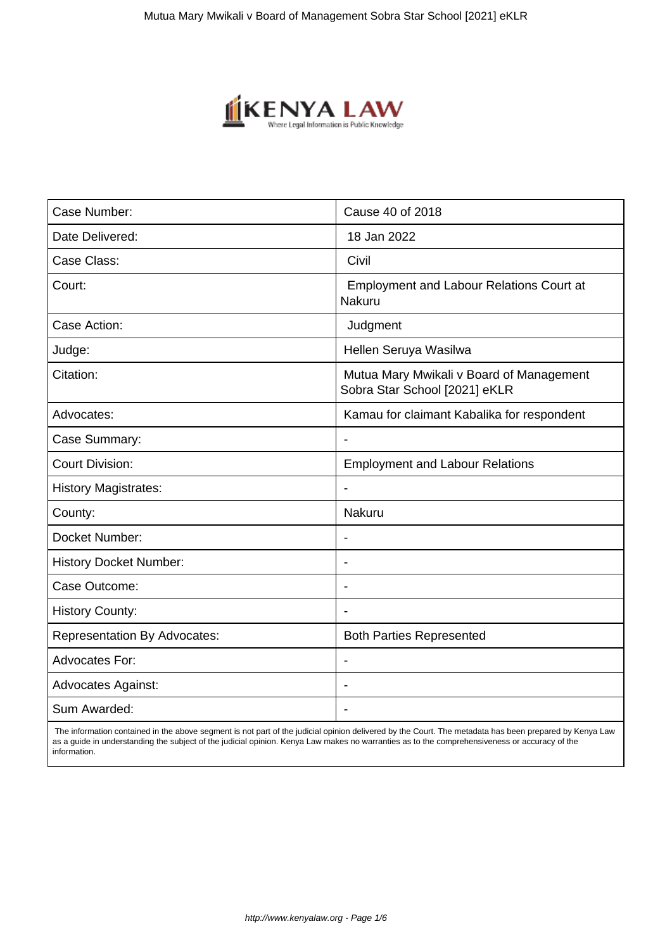

| Case Number:                        | Cause 40 of 2018                                                          |
|-------------------------------------|---------------------------------------------------------------------------|
| Date Delivered:                     | 18 Jan 2022                                                               |
| Case Class:                         | Civil                                                                     |
| Court:                              | <b>Employment and Labour Relations Court at</b><br>Nakuru                 |
| Case Action:                        | Judgment                                                                  |
| Judge:                              | Hellen Seruya Wasilwa                                                     |
| Citation:                           | Mutua Mary Mwikali v Board of Management<br>Sobra Star School [2021] eKLR |
| Advocates:                          | Kamau for claimant Kabalika for respondent                                |
| Case Summary:                       | $\blacksquare$                                                            |
| <b>Court Division:</b>              | <b>Employment and Labour Relations</b>                                    |
| <b>History Magistrates:</b>         |                                                                           |
| County:                             | Nakuru                                                                    |
| Docket Number:                      | $\overline{\phantom{a}}$                                                  |
| <b>History Docket Number:</b>       | ÷.                                                                        |
| Case Outcome:                       |                                                                           |
| <b>History County:</b>              |                                                                           |
| <b>Representation By Advocates:</b> | <b>Both Parties Represented</b>                                           |
| <b>Advocates For:</b>               |                                                                           |
| <b>Advocates Against:</b>           |                                                                           |
| Sum Awarded:                        |                                                                           |

 The information contained in the above segment is not part of the judicial opinion delivered by the Court. The metadata has been prepared by Kenya Law as a guide in understanding the subject of the judicial opinion. Kenya Law makes no warranties as to the comprehensiveness or accuracy of the information.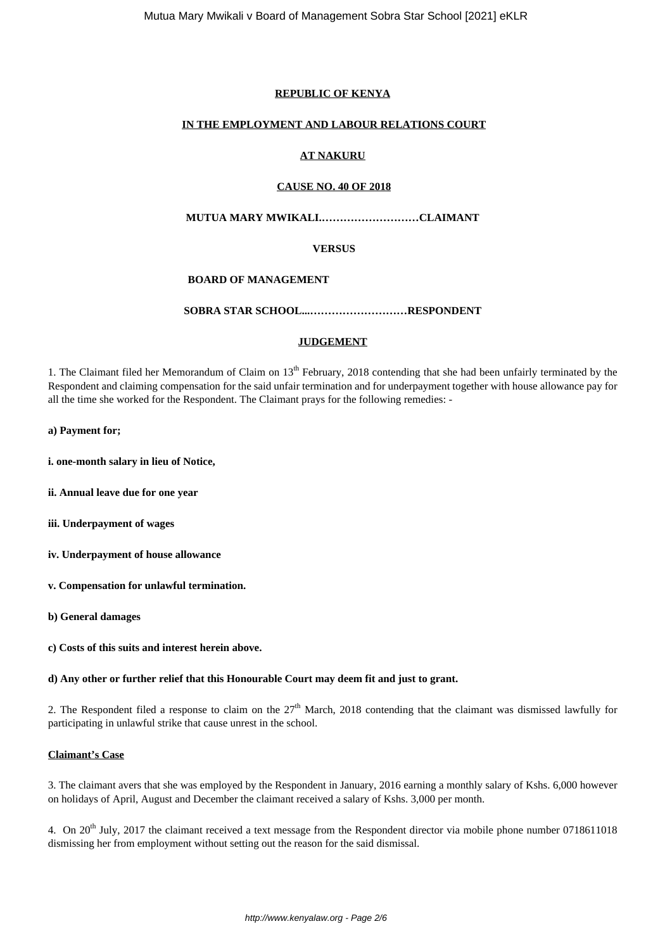## **REPUBLIC OF KENYA**

## **IN THE EMPLOYMENT AND LABOUR RELATIONS COURT**

## **AT NAKURU**

#### **CAUSE NO. 40 OF 2018**

# **MUTUA MARY MWIKALI.………………………CLAIMANT**

## **VERSUS**

## **BOARD OF MANAGEMENT**

## **SOBRA STAR SCHOOL...………………………RESPONDENT**

## **JUDGEMENT**

1. The Claimant filed her Memorandum of Claim on 13<sup>th</sup> February, 2018 contending that she had been unfairly terminated by the Respondent and claiming compensation for the said unfair termination and for underpayment together with house allowance pay for all the time she worked for the Respondent. The Claimant prays for the following remedies: -

### **a) Payment for;**

- **i. one-month salary in lieu of Notice,**
- **ii. Annual leave due for one year**
- **iii. Underpayment of wages**
- **iv. Underpayment of house allowance**
- **v. Compensation for unlawful termination.**
- **b) General damages**
- **c) Costs of this suits and interest herein above.**

## **d) Any other or further relief that this Honourable Court may deem fit and just to grant.**

2. The Respondent filed a response to claim on the  $27<sup>th</sup>$  March, 2018 contending that the claimant was dismissed lawfully for participating in unlawful strike that cause unrest in the school.

## **Claimant's Case**

3. The claimant avers that she was employed by the Respondent in January, 2016 earning a monthly salary of Kshs. 6,000 however on holidays of April, August and December the claimant received a salary of Kshs. 3,000 per month.

4. On  $20^{th}$  July, 2017 the claimant received a text message from the Respondent director via mobile phone number 0718611018 dismissing her from employment without setting out the reason for the said dismissal.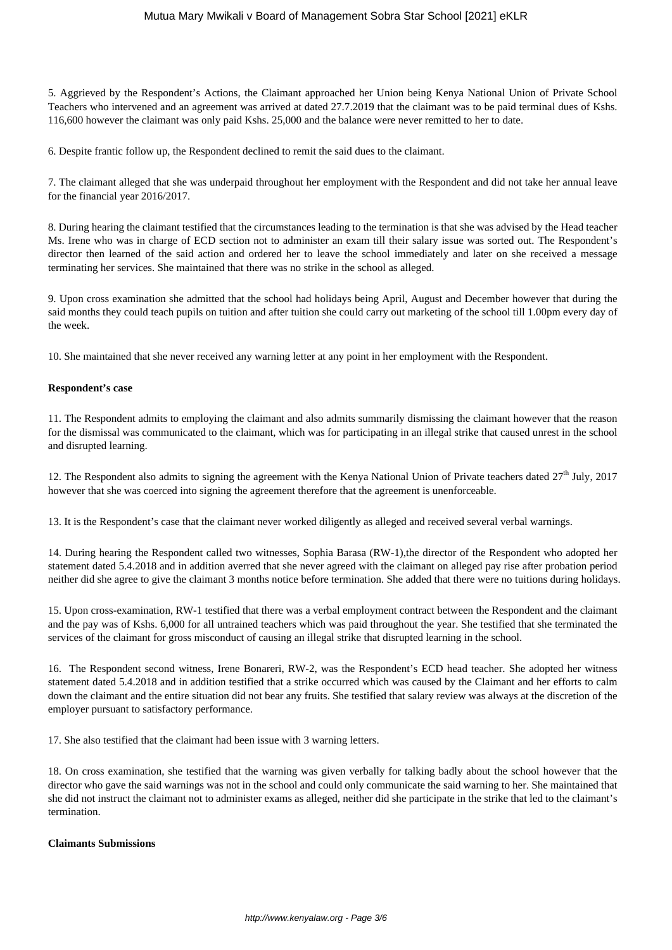## Mutua Mary Mwikali v Board of Management Sobra Star School [2021] eKLR

5. Aggrieved by the Respondent's Actions, the Claimant approached her Union being Kenya National Union of Private School Teachers who intervened and an agreement was arrived at dated 27.7.2019 that the claimant was to be paid terminal dues of Kshs. 116,600 however the claimant was only paid Kshs. 25,000 and the balance were never remitted to her to date.

6. Despite frantic follow up, the Respondent declined to remit the said dues to the claimant.

7. The claimant alleged that she was underpaid throughout her employment with the Respondent and did not take her annual leave for the financial year 2016/2017.

8. During hearing the claimant testified that the circumstances leading to the termination is that she was advised by the Head teacher Ms. Irene who was in charge of ECD section not to administer an exam till their salary issue was sorted out. The Respondent's director then learned of the said action and ordered her to leave the school immediately and later on she received a message terminating her services. She maintained that there was no strike in the school as alleged.

9. Upon cross examination she admitted that the school had holidays being April, August and December however that during the said months they could teach pupils on tuition and after tuition she could carry out marketing of the school till 1.00pm every day of the week.

10. She maintained that she never received any warning letter at any point in her employment with the Respondent.

## **Respondent's case**

11. The Respondent admits to employing the claimant and also admits summarily dismissing the claimant however that the reason for the dismissal was communicated to the claimant, which was for participating in an illegal strike that caused unrest in the school and disrupted learning.

12. The Respondent also admits to signing the agreement with the Kenya National Union of Private teachers dated  $27<sup>th</sup>$  July, 2017 however that she was coerced into signing the agreement therefore that the agreement is unenforceable.

13. It is the Respondent's case that the claimant never worked diligently as alleged and received several verbal warnings.

14. During hearing the Respondent called two witnesses, Sophia Barasa (RW-1),the director of the Respondent who adopted her statement dated 5.4.2018 and in addition averred that she never agreed with the claimant on alleged pay rise after probation period neither did she agree to give the claimant 3 months notice before termination. She added that there were no tuitions during holidays.

15. Upon cross-examination, RW-1 testified that there was a verbal employment contract between the Respondent and the claimant and the pay was of Kshs. 6,000 for all untrained teachers which was paid throughout the year. She testified that she terminated the services of the claimant for gross misconduct of causing an illegal strike that disrupted learning in the school.

16. The Respondent second witness, Irene Bonareri, RW-2, was the Respondent's ECD head teacher. She adopted her witness statement dated 5.4.2018 and in addition testified that a strike occurred which was caused by the Claimant and her efforts to calm down the claimant and the entire situation did not bear any fruits. She testified that salary review was always at the discretion of the employer pursuant to satisfactory performance.

17. She also testified that the claimant had been issue with 3 warning letters.

18. On cross examination, she testified that the warning was given verbally for talking badly about the school however that the director who gave the said warnings was not in the school and could only communicate the said warning to her. She maintained that she did not instruct the claimant not to administer exams as alleged, neither did she participate in the strike that led to the claimant's termination.

#### **Claimants Submissions**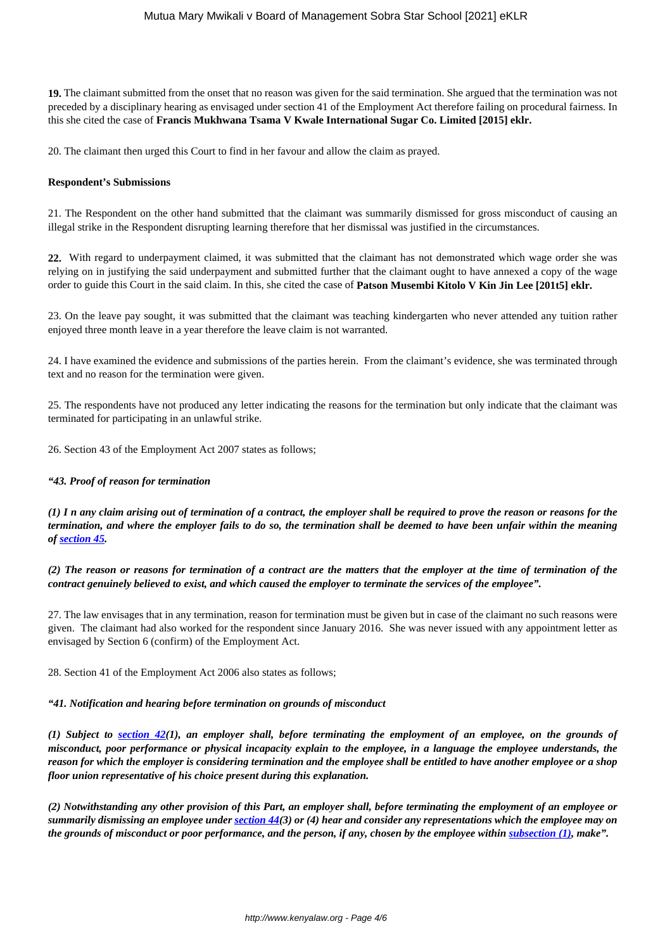**19.** The claimant submitted from the onset that no reason was given for the said termination. She argued that the termination was not preceded by a disciplinary hearing as envisaged under section 41 of the Employment Act therefore failing on procedural fairness. In this she cited the case of **Francis Mukhwana Tsama V Kwale International Sugar Co. Limited [2015] eklr.**

20. The claimant then urged this Court to find in her favour and allow the claim as prayed.

#### **Respondent's Submissions**

21. The Respondent on the other hand submitted that the claimant was summarily dismissed for gross misconduct of causing an illegal strike in the Respondent disrupting learning therefore that her dismissal was justified in the circumstances.

**22.** With regard to underpayment claimed, it was submitted that the claimant has not demonstrated which wage order she was relying on in justifying the said underpayment and submitted further that the claimant ought to have annexed a copy of the wage order to guide this Court in the said claim. In this, she cited the case of **Patson Musembi Kitolo V Kin Jin Lee [201t5] eklr.**

23. On the leave pay sought, it was submitted that the claimant was teaching kindergarten who never attended any tuition rather enjoyed three month leave in a year therefore the leave claim is not warranted.

24. I have examined the evidence and submissions of the parties herein. From the claimant's evidence, she was terminated through text and no reason for the termination were given.

25. The respondents have not produced any letter indicating the reasons for the termination but only indicate that the claimant was terminated for participating in an unlawful strike.

26. Section 43 of the Employment Act 2007 states as follows;

### *"43. Proof of reason for termination*

*(1) I n any claim arising out of termination of a contract, the employer shall be required to prove the reason or reasons for the termination, and where the employer fails to do so, the termination shall be deemed to have been unfair within the meaning of [section 45.](http://kenyalaw.org:8181/exist/kenyalex/actview.xql"actid=No.%2011%20of%202007#KE/LEG/EN/AR/E/NO.%2011%20OF%202007/sec_45)*

*(2) The reason or reasons for termination of a contract are the matters that the employer at the time of termination of the contract genuinely believed to exist, and which caused the employer to terminate the services of the employee".*

27. The law envisages that in any termination, reason for termination must be given but in case of the claimant no such reasons were given. The claimant had also worked for the respondent since January 2016. She was never issued with any appointment letter as envisaged by Section 6 (confirm) of the Employment Act.

28. Section 41 of the Employment Act 2006 also states as follows;

#### *"41. Notification and hearing before termination on grounds of misconduct*

*(1) Subject to [section 42\(](http://kenyalaw.org:8181/exist/kenyalex/actview.xql"actid=No.%2011%20of%202007#KE/LEG/EN/AR/E/NO.%2011%20OF%202007/sec_42)1), an employer shall, before terminating the employment of an employee, on the grounds of misconduct, poor performance or physical incapacity explain to the employee, in a language the employee understands, the reason for which the employer is considering termination and the employee shall be entitled to have another employee or a shop floor union representative of his choice present during this explanation.*

*(2) Notwithstanding any other provision of this Part, an employer shall, before terminating the employment of an employee or summarily dismissing an employee under [section 44\(](http://kenyalaw.org:8181/exist/kenyalex/actview.xql"actid=No.%2011%20of%202007#KE/LEG/EN/AR/E/NO.%2011%20OF%202007/sec_44)3) or (4) hear and consider any representations which the employee may on the grounds of misconduct or poor performance, and the person, if any, chosen by the employee within <i>subsection* (1)*,* make".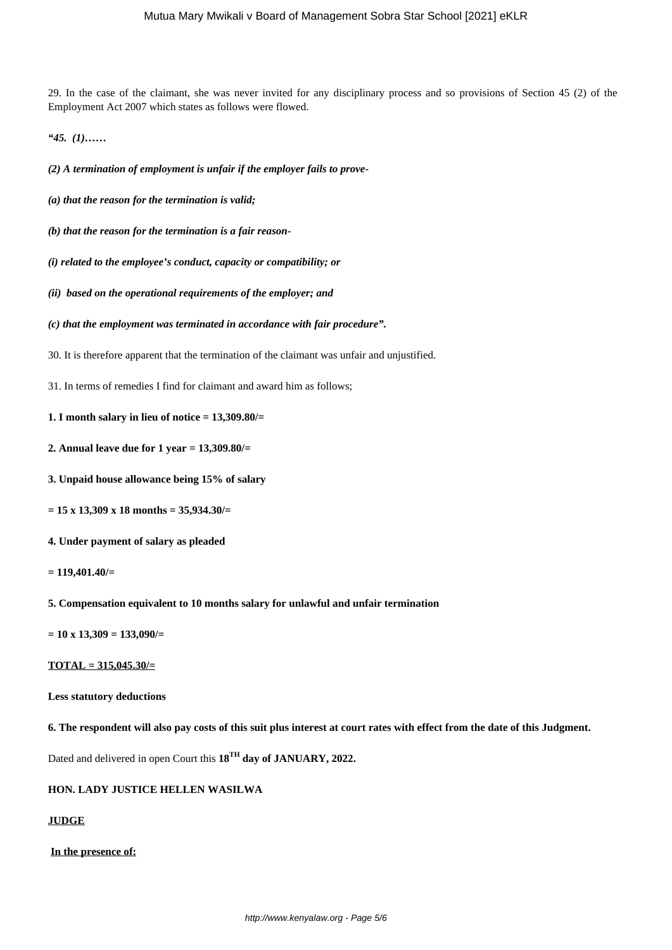29. In the case of the claimant, she was never invited for any disciplinary process and so provisions of Section 45 (2) of the Employment Act 2007 which states as follows were flowed.

*"45. (1)……*

*(2) A termination of employment is unfair if the employer fails to prove-*

- *(a) that the reason for the termination is valid;*
- *(b) that the reason for the termination is a fair reason-*
- *(i) related to the employee's conduct, capacity or compatibility; or*
- *(ii) based on the operational requirements of the employer; and*
- *(c) that the employment was terminated in accordance with fair procedure".*
- 30. It is therefore apparent that the termination of the claimant was unfair and unjustified.
- 31. In terms of remedies I find for claimant and award him as follows;
- **1. I month salary in lieu of notice = 13,309.80/=**
- **2. Annual leave due for 1 year = 13,309.80/=**
- **3. Unpaid house allowance being 15% of salary**
- **= 15 x 13,309 x 18 months = 35,934.30/=**
- **4. Under payment of salary as pleaded**
- **= 119,401.40/=**
- **5. Compensation equivalent to 10 months salary for unlawful and unfair termination**
- **= 10 x 13,309 = 133,090/=**

**TOTAL = 315,045.30/=**

## **Less statutory deductions**

**6. The respondent will also pay costs of this suit plus interest at court rates with effect from the date of this Judgment.**

Dated and delivered in open Court this **18TH day of JANUARY, 2022.**

## **HON. LADY JUSTICE HELLEN WASILWA**

# **JUDGE**

### **In the presence of:**